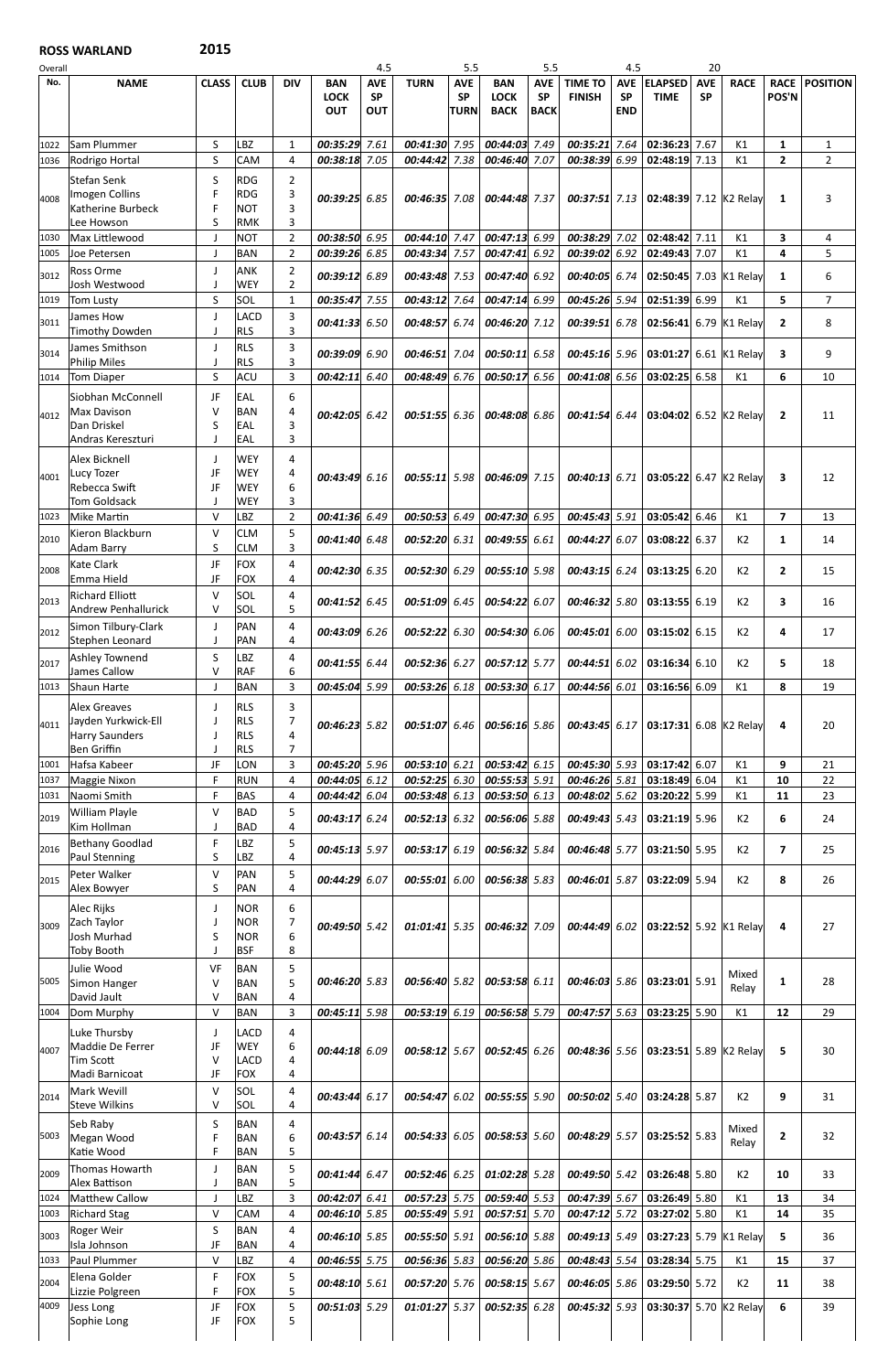## ROSS WARLAND 2015

| Overall      |                                               |                             |                          |                                  |                                         | 4.5                                   |                                | 5.5                                    |                                          | 5.5                                    |                                 | 4.5                                   |                               | 20                      |                 |                              |                                |
|--------------|-----------------------------------------------|-----------------------------|--------------------------|----------------------------------|-----------------------------------------|---------------------------------------|--------------------------------|----------------------------------------|------------------------------------------|----------------------------------------|---------------------------------|---------------------------------------|-------------------------------|-------------------------|-----------------|------------------------------|--------------------------------|
| No.          | <b>NAME</b>                                   | <b>CLASS</b>                | <b>CLUB</b>              | <b>DIV</b>                       | <b>BAN</b><br><b>LOCK</b><br><b>OUT</b> | <b>AVE</b><br><b>SP</b><br><b>OUT</b> | <b>TURN</b>                    | <b>AVE</b><br><b>SP</b><br><b>TURN</b> | <b>BAN</b><br><b>LOCK</b><br><b>BACK</b> | <b>AVE</b><br><b>SP</b><br><b>BACK</b> | <b>TIME TO</b><br><b>FINISH</b> | <b>AVE</b><br><b>SP</b><br><b>END</b> | <b>ELAPSED</b><br><b>TIME</b> | <b>AVE</b><br><b>SP</b> | <b>RACE</b>     | <b>RACE</b><br><b>POS'N</b>  | <b>POSITION</b>                |
| 1022<br>1036 | <b>Sam Plummer</b><br>Rodrigo Hortal          | S<br>S                      | LBZ<br>CAM               | 1<br>$\overline{4}$              | 00:35:29<br>00:38:18 7.05               | 7.61                                  | 00:41:30 7.95<br>00:44:42 7.38 |                                        | 00:44:03 7.49<br>00:46:40 7.07           |                                        | 00:35:21<br>00:38:39 6.99       | 7.64                                  | 02:36:23<br>02:48:19 7.13     | 7.67                    | K1<br>K1        | $\mathbf{1}$<br>$\mathbf{2}$ | $\mathbf{1}$<br>$\overline{2}$ |
| 4008         | Stefan Senk<br>Imogen Collins                 | S<br>F                      | <b>RDG</b><br><b>RDG</b> | 2<br>3                           | 00:39:25                                | 6.85                                  | 00:46:35 7.08                  |                                        | 00:44:48 7.37                            |                                        | $00:37:51$ 7.13                 |                                       | 02:48:39 7.12 K2 Relay        |                         |                 | 1                            | 3                              |
|              | Katherine Burbeck<br>Lee Howson               | F<br>S                      | <b>NOT</b><br><b>RMK</b> | 3<br>3                           |                                         |                                       |                                |                                        |                                          |                                        |                                 |                                       |                               |                         |                 |                              |                                |
| 1030         | Max Littlewood                                | J                           | <b>NOT</b>               | $\overline{2}$                   | 00:38:50 6.95                           |                                       | 00:44:10 7.47                  |                                        | 00:47:13 6.99                            |                                        | 00:38:29 7.02                   |                                       | 02:48:42 7.11                 |                         | K1              | 3                            | 4                              |
| 1005         | Joe Petersen<br>Ross Orme                     | J<br>J                      | <b>BAN</b><br><b>ANK</b> | $\overline{2}$<br>$\overline{2}$ | 00:39:26 6.85                           |                                       | 00:43:34 7.57                  |                                        | 00:47:41 6.92                            |                                        | 00:39:02                        | 6.92                                  | 02:49:43 7.07                 |                         | K1              | 4                            | 5                              |
| 3012         | Josh Westwood                                 | J                           | WEY                      | $\overline{2}$                   | 00:39:12                                | 6.89                                  | 00:43:48 7.53                  |                                        | 00:47:40 6.92                            |                                        | 00:40:05 6.74                   |                                       | 02:50:45 7.03 K1 Relay        |                         |                 | 1                            | 6                              |
| 1019         | <b>Tom Lusty</b>                              | S                           | SOL                      | $\mathbf{1}$                     | 00:35:47                                | 7.55                                  | 00:43:12 7.64                  |                                        | 00:47:14 6.99                            |                                        | $00:45:26$ 5.94                 |                                       | 02:51:39 6.99                 |                         | K1              | 5                            | $\overline{7}$                 |
| 3011         | James How                                     | J                           | LACD                     | 3<br>$\overline{3}$              | 00:41:33 6.50                           |                                       | 00:48:5766.74                  |                                        | 00:46:20 7.12                            |                                        | 00:39:516.78                    |                                       | 02:56:41 6.79 K1 Relay        |                         |                 | $\mathbf{2}$                 | 8                              |
|              | Timothy Dowden<br>James Smithson              | J<br>J                      | <b>RLS</b><br><b>RLS</b> | 3                                |                                         |                                       |                                |                                        |                                          |                                        |                                 |                                       |                               |                         |                 |                              |                                |
| 3014         | <b>Philip Miles</b>                           | J                           | <b>RLS</b>               | 3                                | 00:39:09                                | 6.90                                  | 00:46:51 7.04                  |                                        | 00:50:11 6.58                            |                                        | $00:45:16$ 5.96                 |                                       | 03:01:27                      |                         | 6.61 $K1$ Relay | 3                            | 9                              |
| 1014         | <b>Tom Diaper</b>                             | $\sf S$                     | <b>ACU</b>               | $\overline{3}$                   | 00:42:11                                | 6.40                                  | $00:48:496$ 6.76               |                                        | 00:50:17 6.56                            |                                        | 00:41:08 6.56                   |                                       | 03:02:25                      | 6.58                    | K1              | 6                            | 10                             |
|              | Siobhan McConnell                             | JF                          | EAL                      | 6                                |                                         |                                       |                                |                                        |                                          |                                        |                                 |                                       |                               |                         |                 |                              |                                |
| 4012         | <b>Max Davison</b><br>Dan Driskel             | V<br>S                      | <b>BAN</b><br>EAL        | 4<br>3                           | 00:42:05                                | 6.42                                  | $00:51:55$ 6.36                |                                        | 00:48:08 6.86                            |                                        | $00:41:54$ 6.44                 |                                       | 03:04:02 6.52 K2 Relay        |                         |                 | $\mathbf{2}$                 | 11                             |
|              | Andras Kereszturi                             | J                           | EAL                      | 3                                |                                         |                                       |                                |                                        |                                          |                                        |                                 |                                       |                               |                         |                 |                              |                                |
|              | Alex Bicknell                                 | J                           | <b>WEY</b>               | 4                                |                                         |                                       |                                |                                        |                                          |                                        |                                 |                                       |                               |                         |                 |                              |                                |
| 4001         | Lucy Tozer<br><b>Rebecca Swift</b>            | JF<br>JF                    | <b>WEY</b><br><b>WEY</b> | 4<br>6                           | 00:43:49 6.16                           |                                       | $00:55:11$ 5.98                |                                        | 00:46:09 7.15                            |                                        | $00:40:13$ 6.71                 |                                       | 03:05:22 6.47 K2 Relay        |                         |                 | 3                            | 12                             |
|              | <b>Tom Goldsack</b>                           | J                           | <b>WEY</b>               | 3                                |                                         |                                       |                                |                                        |                                          |                                        |                                 |                                       |                               |                         |                 |                              |                                |
| 1023         | <b>Mike Martin</b>                            | $\vee$                      | LBZ                      | $\overline{2}$                   | 00:41:36                                | 6.49                                  | $00:50:53$ 6.49                |                                        | 00:47:30 6.95                            |                                        | 00:45:43 5.91                   |                                       | 03:05:42 6.46                 |                         | K1              | $\overline{7}$               | 13                             |
| 2010         | Kieron Blackburn<br><b>Adam Barry</b>         | V<br>S                      | <b>CLM</b><br><b>CLM</b> | 5<br>3                           | 00:41:40                                | 6.48                                  | 00:52:20 6.31                  |                                        | 00:49:55 6.61                            |                                        | 00:44:27                        | 6.07                                  | 03:08:22 6.37                 |                         | K <sub>2</sub>  | $\mathbf{1}$                 | 14                             |
|              | Kate Clark                                    | JF                          | <b>FOX</b>               | 4                                |                                         |                                       |                                |                                        |                                          |                                        |                                 |                                       |                               |                         |                 |                              |                                |
| 2008         | Emma Hield                                    | JF                          | <b>FOX</b>               | 4                                | 00:42:30 6.35                           |                                       | $00:52:30$ 6.29                |                                        | 00:55:10 5.98                            |                                        | $00:43:15$ 6.24                 |                                       | $03:13:25$ 6.20               |                         | K2              | $\mathbf{2}$                 | 15                             |
| 2013         | <b>Richard Elliott</b><br>Andrew Penhallurick | $\vee$<br>$\vee$            | SOL<br>SOL               | 4<br>5                           | 00:41:52 6.45                           |                                       | 00:51:09 6.45                  |                                        | 00:54:22 6.07                            |                                        | $00:46:32$ 5.80                 |                                       | $03:13:55$ 6.19               |                         | K <sub>2</sub>  | 3                            | 16                             |
| 2012         | Simon Tilbury-Clark<br>Stephen Leonard        | J<br>J                      | PAN<br>PAN               | 4<br>4                           | 00:43:09 6.26                           |                                       | 00:52:22 6.30                  |                                        | 00:54:30 6.06                            |                                        | $00:45:01$ 6.00                 |                                       | $03:15:02$ 6.15               |                         | K2              | 4                            | 17                             |
| 2017         | <b>Ashley Townend</b><br>James Callow         | $\sf S$<br>$\vee$           | LBZ<br><b>RAF</b>        | $\overline{4}$<br>6              | 00:41:55                                | 6.44                                  | 00:52:36 6.27                  |                                        | 00:57:12 5.77                            |                                        | 00:44:51 6.02                   |                                       | $03:16:34$ 6.10               |                         | K2              | 5                            | 18                             |
| 1013         | Shaun Harte                                   | J                           | <b>BAN</b>               | 3                                | 00:45:04 5.99                           |                                       | $00:53:26$ 6.18                |                                        | 00:53:30 6.17                            |                                        | 00:44:56 6.01                   |                                       | 03:16:56 6.09                 |                         | K1              | 8                            | 19                             |
|              | <b>Alex Greaves</b>                           | J                           | <b>RLS</b>               | 3                                |                                         |                                       |                                |                                        |                                          |                                        |                                 |                                       |                               |                         |                 |                              |                                |
| 4011         | Jayden Yurkwick-Ell                           | $\mathbf{I}$                | <b>RLS</b>               | $\overline{7}$                   | 00:46:23 5.82                           |                                       | 00:51:0766.46                  |                                        | $00:56:16$ 5.86                          |                                        | $00:43:45$ 6.17                 |                                       | 03:17:31 6.08 K2 Relay        |                         |                 | 4                            | 20                             |
|              | <b>Harry Saunders</b><br><b>Ben Griffin</b>   | $\cdot$<br>$\mathbf{I}$     | <b>RLS</b><br><b>RLS</b> | $\overline{a}$<br>7              |                                         |                                       |                                |                                        |                                          |                                        |                                 |                                       |                               |                         |                 |                              |                                |
| 1001         | Hafsa Kabeer                                  | JF                          | LON                      | $\overline{3}$                   | 00:45:20 5.96                           |                                       | 00:53:10 6.21                  |                                        | 00:53:42 6.15                            |                                        | 00:45:30 5.93                   |                                       | 03:17:42 6.07                 |                         | K1              | 9                            | 21                             |
| 1037         | Maggie Nixon                                  | $\mathsf F$                 | <b>RUN</b>               | $\overline{a}$                   | 00:44:05 6.12                           |                                       | $00:52:25$ 6.30                |                                        | 00:55:53 5.91                            |                                        | $00:46:26$ 5.81                 |                                       | 03:18:49 6.04                 |                         | K1              | 10                           | 22                             |
| 1031         | Naomi Smith<br><b>William Playle</b>          | $\mathsf F$<br>$\vee$       | <b>BAS</b><br><b>BAD</b> | 4<br>5                           | 00:44:42                                | 6.04                                  | 00:53:48 6.13                  |                                        | 00:53:50 6.13                            |                                        | $00:48:02$ 5.62                 |                                       | 03:20:22 5.99                 |                         | K1              | 11                           | 23                             |
| 2019         | Kim Hollman                                   | $\mathbf{I}$                | <b>BAD</b>               | $\overline{4}$                   | 00:43:17                                | 6.24                                  | $00:52:13$ 6.32                |                                        | 00:56:06 5.88                            |                                        | $00:49:43$ 5.43                 |                                       | $03:21:19$ 5.96               |                         | K <sub>2</sub>  | 6                            | 24                             |
| 2016         | <b>Bethany Goodlad</b><br>Paul Stenning       | $\mathsf F$<br>S            | LBZ<br>LBZ               | 5<br>4                           | 00:45:13 5.97                           |                                       | 00:53:17 6.19                  |                                        | 00:56:32 5.84                            |                                        | 00:46:48 5.77                   |                                       | 03:21:50 5.95                 |                         | K2              | $\overline{7}$               | 25                             |
| 2015         | Peter Walker<br>Alex Bowyer                   | V<br>$\sf S$                | PAN<br>PAN               | 5<br>$\overline{4}$              | 00:44:29 6.07                           |                                       | 00:55:01 6.00                  |                                        | 00:56:38 5.83                            |                                        | $00:46:01$ 5.87                 |                                       | 03:22:09 5.94                 |                         | K2              | 8                            | 26                             |
|              | Alec Rijks                                    | J                           | <b>NOR</b>               | 6                                |                                         |                                       |                                |                                        |                                          |                                        |                                 |                                       |                               |                         |                 |                              |                                |
| 3009         | Zach Taylor                                   | J                           | <b>NOR</b>               | 7                                | 00:49:50 5.42                           |                                       | $01:01:41$ 5.35                |                                        | 00:46:32 7.09                            |                                        | 00:44:49602                     |                                       | 03:22:52 5.92 K1 Relay        |                         |                 | 4                            | 27                             |
|              | Josh Murhad<br><b>Toby Booth</b>              | S<br>$\mathsf{I}$           | <b>NOR</b><br><b>BSF</b> | 6<br>8                           |                                         |                                       |                                |                                        |                                          |                                        |                                 |                                       |                               |                         |                 |                              |                                |
|              | Julie Wood                                    | VF                          | <b>BAN</b>               | 5                                |                                         |                                       |                                |                                        |                                          |                                        |                                 |                                       |                               |                         |                 |                              |                                |
| 5005         | Simon Hanger                                  | V                           | <b>BAN</b>               | 5                                | 00:46:20 5.83                           |                                       | 00:56:40 5.82                  |                                        | 00:53:58 6.11                            |                                        | $00:46:03$ 5.86                 |                                       | 03:23:01 5.91                 |                         | Mixed<br>Relay  | $\mathbf{1}$                 | 28                             |
|              | David Jault                                   | $\vee$                      | <b>BAN</b>               | 4                                |                                         |                                       |                                |                                        |                                          |                                        |                                 |                                       |                               |                         |                 |                              |                                |
| 1004         | Dom Murphy                                    | $\vee$                      | <b>BAN</b><br>LACD       | 3<br>4                           | 00:45:11                                | 5.98                                  | 00:53:19 6.19                  |                                        | 00:56:58 5.79                            |                                        | $00:47:57$ 5.63                 |                                       | 03:23:25 5.90                 |                         | K1              | 12                           | 29                             |
| 4007         | Luke Thursby<br>Maddie De Ferrer              | J<br>JF                     | <b>WEY</b>               | 6                                | 00:44:18 6.09                           |                                       | 00:58:12 5.67                  |                                        | $00:52:45$ 6.26                          |                                        | 00:48:36 5.56                   |                                       | 03:23:51 5.89 K2 Relay        |                         |                 | 5                            | 30                             |
|              | <b>Tim Scott</b>                              | $\vee$                      | LACD                     | 4                                |                                         |                                       |                                |                                        |                                          |                                        |                                 |                                       |                               |                         |                 |                              |                                |
|              | Madi Barnicoat<br><b>Mark Wevill</b>          | JF<br>V                     | <b>FOX</b><br>SOL        | 4                                |                                         |                                       |                                |                                        |                                          |                                        |                                 |                                       |                               |                         |                 |                              |                                |
| 2014         | <b>Steve Wilkins</b>                          | V                           | <b>SOL</b>               | 4<br>4                           | 00:43:44 6.17                           |                                       | 00:54:476.02                   |                                        | 00:55:55 5.90                            |                                        | $00:50:02$ 5.40                 |                                       | 03:24:28 5.87                 |                         | K2              | 9                            | 31                             |
| 5003         | Seb Raby<br>Megan Wood                        | $\sf S$<br>F                | <b>BAN</b><br><b>BAN</b> | 4<br>$\boldsymbol{6}$            | 00:43:57 6.14                           |                                       | $00:54:33$ 6.05                |                                        | 00:58:53 5.60                            |                                        | 00:48:29 5.57                   |                                       | 03:25:52 5.83                 |                         | Mixed<br>Relay  | $\mathbf{2}$                 | 32                             |
|              | Katie Wood                                    | F                           | <b>BAN</b>               | 5                                |                                         |                                       |                                |                                        |                                          |                                        |                                 |                                       |                               |                         |                 |                              |                                |
| 2009         | Thomas Howarth<br>Alex Battison               | $\mathsf J$<br>$\mathbf{J}$ | <b>BAN</b><br><b>BAN</b> | 5<br>5                           | 00:41:44 6.47                           |                                       | $00:52:46$ 6.25                |                                        | 01:02:28 5.28                            |                                        | $00:49:50$ 5.42                 |                                       | 03:26:48 5.80                 |                         | K2              | 10                           | 33                             |
| 1024         | <b>Matthew Callow</b>                         | J                           | LBZ                      | 3                                | 00:42:07 6.41                           |                                       | 00:57:23 5.75                  |                                        | 00:59:40 5.53                            |                                        | $00:47:39$ 5.67                 |                                       | 03:26:49 5.80                 |                         | K1              | 13                           | 34                             |
| 1003         | <b>Richard Stag</b>                           | $\sf V$                     | <b>CAM</b>               | $\overline{4}$                   | 00:46:10 5.85                           |                                       | 00:55:49 5.91                  |                                        | 00:57:51 5.70                            |                                        | 00:47:12 5.72                   |                                       | 03:27:02 5.80                 |                         | K1              | 14                           | 35                             |
| 3003         | Roger Weir<br>Isla Johnson                    | $\sf S$<br>JF               | <b>BAN</b><br><b>BAN</b> | 4<br>4                           | 00:46:10 5.85                           |                                       | 00:55:50 5.91                  |                                        | 00:56:10 5.88                            |                                        | $00:49:13$ 5.49                 |                                       | 03:27:23 5.79 K1 Relay        |                         |                 | 5                            | 36                             |
| 1033         | Paul Plummer                                  | V                           | LBZ                      | 4                                | $00:46:55$ 5.75                         |                                       | $00:56:36$ 5.83                |                                        | 00:56:20 5.86                            |                                        | 00:48:43 5.54                   |                                       | 03:28:34 5.75                 |                         | K1              | 15                           | 37                             |
| 2004         | Elena Golder                                  | $\mathsf F$                 | <b>FOX</b>               | 5                                | 00:48:10 5.61                           |                                       | $00:57:20$ 5.76                |                                        | 00:58:15 5.67                            |                                        | 00:46:05 5.86                   |                                       | 03:29:50 5.72                 |                         | K2              | 11                           | 38                             |
| 4009         | Lizzie Polgreen                               | F<br>JF                     | <b>FOX</b><br><b>FOX</b> | 5<br>5                           | 00:51:03 5.29                           |                                       | $01:01:27$ 5.37                |                                        | 00:52:35 6.28                            |                                        | 00:45:32 5.93                   |                                       | 03:30:37 5.70 K2 Relay        |                         |                 | 6                            | 39                             |
|              | Jess Long<br>Sophie Long                      | JF                          | <b>FOX</b>               | 5                                |                                         |                                       |                                |                                        |                                          |                                        |                                 |                                       |                               |                         |                 |                              |                                |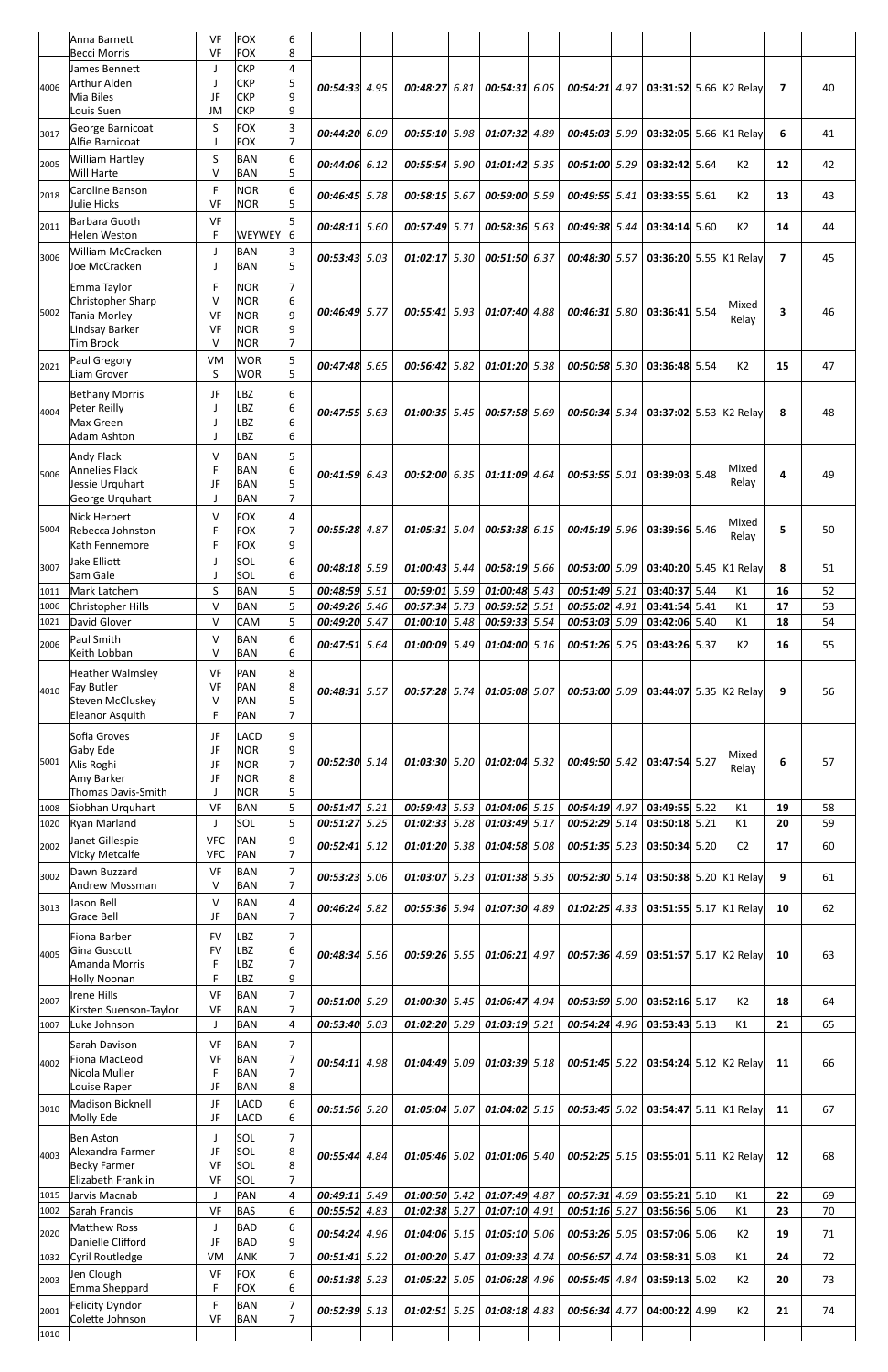|              | Anna Barnett                                 | VF                     | <b>FOX</b>               | 6                                |                      |              |                                  |      |                                |      |                                |                                      |      |                |                          |          |
|--------------|----------------------------------------------|------------------------|--------------------------|----------------------------------|----------------------|--------------|----------------------------------|------|--------------------------------|------|--------------------------------|--------------------------------------|------|----------------|--------------------------|----------|
|              | <b>Becci Morris</b>                          | VF                     | <b>FOX</b>               | 8                                |                      |              |                                  |      |                                |      |                                |                                      |      |                |                          |          |
| 4006         | James Bennett<br><b>Arthur Alden</b>         | J<br>J                 | CKP<br><b>CKP</b>        | 4<br>5                           | 00:54:33 4.95        |              | 00:48:27                         | 6.81 | 00:54:31 6.05                  |      | $00:54:21$ 4.97                | 03:31:52 5.66 K2 Relay               |      |                | $\overline{\phantom{a}}$ | 40       |
|              | Mia Biles                                    | JF                     | <b>CKP</b>               | 9                                |                      |              |                                  |      |                                |      |                                |                                      |      |                |                          |          |
|              | Louis Suen                                   | JM                     | <b>CKP</b>               | 9                                |                      |              |                                  |      |                                |      |                                |                                      |      |                |                          |          |
| 3017         | George Barnicoat<br>Alfie Barnicoat          | S<br>J                 | <b>FOX</b><br><b>FOX</b> | 3<br>$\overline{7}$              | 00:44:20             | 6.09         | 00:55:10 5.98                    |      | $01:07:32$ 4.89                |      | 00:45:03 5.99                  | 03:32:05 5.66 K1 Relay               |      |                | 6                        | 41       |
| 2005         | <b>William Hartley</b>                       | S                      | <b>BAN</b>               | 6                                | 00:44:06 6.12        |              | 00:55:54                         | 5.90 | $01:01:42$ 5.35                |      | 00:51:00 5.29                  | 03:32:42 5.64                        |      | K <sub>2</sub> | 12                       | 42       |
|              | Will Harte                                   | $\vee$                 | <b>BAN</b>               | 5                                |                      |              |                                  |      |                                |      |                                |                                      |      |                |                          |          |
| 2018         | Caroline Banson<br>Julie Hicks               | $\mathsf F$<br>VF      | <b>NOR</b><br><b>NOR</b> | 6<br>5                           | 00:46:45 5.78        |              | 00:58:15 5.67                    |      | 00:59:00 5.59                  |      | 00:49:55 5.41                  | 03:33:55 5.61                        |      | K2             | 13                       | 43       |
| 2011         | Barbara Guoth                                | VF                     |                          | 5                                | 00:48:11 5.60        |              | 00:57:49 5.71                    |      | 00:58:36 5.63                  |      | 00:49:38 5.44                  | $03:34:14$ 5.60                      |      | K <sub>2</sub> | 14                       | 44       |
|              | <b>Helen Weston</b>                          | $\mathsf F$            | <b>WEYWEY</b>            | $6\phantom{1}6$                  |                      |              |                                  |      |                                |      |                                |                                      |      |                |                          |          |
| 3006         | William McCracken<br>Joe McCracken           | J<br>J                 | <b>BAN</b><br><b>BAN</b> | 3<br>5                           | 00:53:43 5.03        |              | 01:02:17                         | 5.30 | 00:51:50                       | 6.37 | 00:48:30 5.57                  | 03:36:20 5.55 K1 Relay               |      |                | $\overline{7}$           | 45       |
|              | Emma Taylor                                  | F                      | <b>NOR</b>               | 7                                |                      |              |                                  |      |                                |      |                                |                                      |      |                |                          |          |
|              | Christopher Sharp                            | v                      | <b>NOR</b>               | 6                                |                      |              |                                  |      |                                |      |                                |                                      |      | Mixed          |                          |          |
| 5002         | Tania Morley<br>Lindsay Barker               | VF<br>VF               | <b>NOR</b><br><b>NOR</b> | 9<br>9                           | 00:46:49 5.77        |              | 00:55:41 5.93                    |      | 01:07:40 4.88                  |      | 00:46:31 5.80                  | 03:36:41 5.54                        |      | Relay          | 3                        | 46       |
|              | <b>Tim Brook</b>                             | $\vee$                 | <b>NOR</b>               | $\overline{7}$                   |                      |              |                                  |      |                                |      |                                |                                      |      |                |                          |          |
| 2021         | Paul Gregory                                 | VM                     | <b>WOR</b>               | 5                                | 00:47:48 5.65        |              | 00:56:42                         | 5.82 | 01:01:20 5.38                  |      | 00:50:58 5.30                  | 03:36:48 5.54                        |      | K <sub>2</sub> | 15                       | 47       |
|              | Liam Grover                                  | S                      | <b>WOR</b>               | 5                                |                      |              |                                  |      |                                |      |                                |                                      |      |                |                          |          |
| 4004         | <b>Bethany Morris</b><br>Peter Reilly        | JF<br>J                | <b>BZ</b><br><b>BZ</b>   | 6<br>6                           | 00:47:55 5.63        |              | $01:00:35$ 5.45                  |      | 00:57:58 5.69                  |      | 00:50:34 5.34                  | 03:37:02 5.53 K2 Relay               |      |                | 8                        | 48       |
|              | Max Green                                    | J                      | LBZ                      | 6                                |                      |              |                                  |      |                                |      |                                |                                      |      |                |                          |          |
|              | <b>Adam Ashton</b>                           | $\mathbf{I}$           | LBZ                      | 6                                |                      |              |                                  |      |                                |      |                                |                                      |      |                |                          |          |
| 5006         | <b>Andy Flack</b><br><b>Annelies Flack</b>   | V<br>F                 | <b>BAN</b><br><b>BAN</b> | 5<br>6                           | 00:41:59             | 6.43         | 00:52:00 6.35                    |      | $01:11:09$ 4.64                |      | 00:53:55 5.01                  | 03:39:03 5.48                        |      | Mixed          | 4                        | 49       |
|              | Jessie Urquhart                              | JF                     | <b>BAN</b>               | 5                                |                      |              |                                  |      |                                |      |                                |                                      |      | Relay          |                          |          |
|              | George Urquhart<br><b>Nick Herbert</b>       | J<br>V                 | <b>BAN</b><br><b>FOX</b> | $\overline{7}$<br>4              |                      |              |                                  |      |                                |      |                                |                                      |      |                |                          |          |
|              | 5004 Rebecca Johnston                        | F                      | <b>FOX</b>               | $\overline{7}$                   | 00:55:28             | 4.87         |                                  |      | 01:05:31 5.04 00:53:38 6.15    |      | $00:45:19$ 5.96 03:39:56 5.46  |                                      |      | Mixed<br>Relay | 5                        | 50       |
|              | Kath Fennemore                               | F                      | <b>FOX</b>               | 9                                |                      |              |                                  |      |                                |      |                                |                                      |      |                |                          |          |
| 3007         | Jake Elliott<br>Sam Gale                     | J<br>$\mathsf{J}$      | SOL<br>SOL               | 6<br>6                           | 00:48:18 5.59        |              | 01:00:43 5.44                    |      | 00:58:19 5.66                  |      | 00:53:00 5.09                  | 03:40:20 5.45 K1 Relay               |      |                | 8                        | 51       |
| 1011         | Mark Latchem                                 | S                      | <b>BAN</b>               | 5                                | 00:48:59 5.51        |              | 00:59:01 5.59                    |      | $01:00:48$ 5.43                |      | 00:51:49 5.21                  | 03:40:37 5.44                        |      | K1             | 16                       | 52       |
| 1006         | Christopher Hills                            | $\vee$                 | <b>BAN</b>               | 5                                | 00:49:26 5.46        |              | 00:57:34 5.73                    |      | 00:59:52 5.51                  |      | 00:55:02 4.91                  | 03:41:54 5.41                        |      | K1             | 17                       | 53       |
| 1021         | David Glover<br>Paul Smith                   | $\vee$<br>V            | CAM<br><b>BAN</b>        | 5<br>6                           | 00:49:20 5.47        |              | $01:00:10$ 5.48                  |      | 00:59:33 5.54                  |      | 00:53:03 5.09                  | 03:42:06                             | 5.40 | K1             | 18                       | 54       |
| 2006         | Keith Lobban                                 | $\vee$                 | <b>BAN</b>               | 6                                | 00:47:51 5.64        |              | 01:00:09 5.49                    |      | 01:04:00 5.16                  |      | 00:51:26 5.25                  | 03:43:26 5.37                        |      | K <sub>2</sub> | 16                       | 55       |
|              | Heather Walmsley                             | VF                     | PAN                      | 8                                |                      |              |                                  |      |                                |      |                                |                                      |      |                |                          |          |
| 4010         | <b>Fay Butler</b><br>Steven McCluskey        | VF<br>$\vee$           | PAN<br>Pan               | 8<br>5                           | 00:48:31 5.57        |              | 00:57:28 5.74                    |      | 01:05:08 5.07                  |      | 00:53:00 5.09                  | 03:44:07 5.35 K2 Relay               |      |                | 9                        | 56       |
|              | Eleanor Asquith                              | F                      | Pan                      | $\overline{7}$                   |                      |              |                                  |      |                                |      |                                |                                      |      |                |                          |          |
|              | Sofia Groves                                 | JF                     | LACD                     | 9                                |                      |              |                                  |      |                                |      |                                |                                      |      |                |                          |          |
| 5001         | Gaby Ede<br>Alis Roghi                       | JF<br>JF               | <b>NOR</b><br><b>NOR</b> | 9<br>$\overline{7}$              | 00:52:30 5.14        |              | $01:03:30$ 5.20                  |      | $01:02:04$ 5.32                |      | 00:49:50 5.42                  | 03:47:54 5.27                        |      | Mixed          | 6                        | 57       |
|              | Amy Barker                                   | JF                     | <b>NOR</b>               | 8                                |                      |              |                                  |      |                                |      |                                |                                      |      | Relay          |                          |          |
|              | Thomas Davis-Smith                           | J                      | <b>NOR</b>               | 5                                |                      |              |                                  |      |                                |      |                                |                                      |      |                |                          |          |
| 1008<br>1020 | Siobhan Urquhart<br><b>Ryan Marland</b>      | VF<br>J                | <b>BAN</b><br>SOL        | 5<br>5                           | 00:51:47<br>00:51:27 | 5.21<br>5.25 | 00:59:43 5.53<br>$01:02:33$ 5.28 |      | 01:04:06 5.15<br>01:03:49 5.17 |      | 00:54:19 4.97<br>00:52:29 5.14 | 03:49:55 5.22<br>03:50:18 5.21       |      | K1<br>K1       | 19<br>20                 | 58<br>59 |
| 2002         | Janet Gillespie                              | <b>VFC</b>             | <b>PAN</b>               | 9                                | 00:52:41 5.12        |              | $01:01:20$ 5.38                  |      | 01:04:58 5.08                  |      | $00:51:35$ 5.23                | 03:50:34 5.20                        |      | C <sub>2</sub> | 17                       | 60       |
|              | <b>Vicky Metcalfe</b>                        | <b>VFC</b>             | PAN                      | $\overline{7}$                   |                      |              |                                  |      |                                |      |                                |                                      |      |                |                          |          |
| 3002         | Dawn Buzzard<br>Andrew Mossman               | VF<br>$\vee$           | <b>BAN</b><br><b>BAN</b> | 7<br>$\overline{7}$              | 00:53:23 5.06        |              | 01:03:07 5.23                    |      | $01:01:38$ 5.35                |      | 00:52:30 5.14                  | 03:50:38 5.20 K1 Relay               |      |                | 9                        | 61       |
| 3013         | Jason Bell                                   | $\vee$                 | <b>BAN</b>               | 4                                | 00:46:24 5.82        |              | 00:55:36 5.94                    |      | 01:07:30                       | 4.89 | $01:02:25$ 4.33                | 03:51:55 5.17 K1 Relay               |      |                | 10                       | 62       |
|              | <b>Grace Bell</b>                            | JF                     | BAN                      | $\overline{7}$                   |                      |              |                                  |      |                                |      |                                |                                      |      |                |                          |          |
|              | Fiona Barber<br>Gina Guscott                 | <b>FV</b><br><b>FV</b> | <b>BZ</b><br>LBZ         | 7<br>6                           |                      |              |                                  |      |                                |      |                                |                                      |      |                |                          |          |
| 4005         | Amanda Morris                                | F                      | LBZ                      | $\overline{7}$                   | 00:48:34 5.56        |              | $00:59:26$ 5.55                  |      | $01:06:21$ 4.97                |      | $00:57:36$ 4.69                | 03:51:57 5.17 K2 Relay               |      |                | 10                       | 63       |
|              | <b>Holly Noonan</b>                          | F                      | LBZ                      | 9                                |                      |              |                                  |      |                                |      |                                |                                      |      |                |                          |          |
| 2007         | <b>Irene Hills</b><br>Kirsten Suenson-Taylor | VF<br>VF               | <b>BAN</b><br><b>BAN</b> | $\overline{7}$<br>$\overline{7}$ | 00:51:00 5.29        |              | 01:00:30 5.45                    |      | $01:06:47$ 4.94                |      | 00:53:59 5.00                  | 03:52:16 5.17                        |      | K <sub>2</sub> | 18                       | 64       |
| 1007         | Luke Johnson                                 | J                      | <b>BAN</b>               | 4                                | 00:53:40 5.03        |              | $01:02:20$ 5.29                  |      | $01:03:19$ 5.21                |      | $00:54:24$ 4.96                | $03:53:43$ 5.13                      |      | K1             | 21                       | 65       |
|              | Sarah Davison                                | VF                     | <b>BAN</b>               | 7                                |                      |              |                                  |      |                                |      |                                |                                      |      |                |                          |          |
| 4002         | Fiona MacLeod<br>Nicola Muller               | VF<br>$\mathsf F$      | <b>BAN</b><br><b>BAN</b> | $\overline{7}$<br>$\overline{7}$ | 00:54:11 4.98        |              | $01:04:49$ 5.09                  |      | $01:03:39$ 5.18                |      | $00:51:45$ 5.22                | 03:54:24 5.12 K2 Relay               |      |                | 11                       | 66       |
|              | Louise Raper                                 | JF                     | <b>BAN</b>               | 8                                |                      |              |                                  |      |                                |      |                                |                                      |      |                |                          |          |
| 3010         | Madison Bicknell<br>Molly Ede                | JF<br>JF               | LACD<br>LACD             | 6<br>6                           | $00:51:56$ 5.20      |              | 01:05:04 5.07                    |      | $01:04:02$ 5.15                |      | $00:53:45$ 5.02                | 03:54:47 5.11 K1 Relay               |      |                | 11                       | 67       |
|              | <b>Ben Aston</b>                             | J                      | SOL                      | 7                                |                      |              |                                  |      |                                |      |                                |                                      |      |                |                          |          |
| 4003         | Alexandra Farmer                             | JF                     | SOL                      | 8                                | 00:55:44 4.84        |              | $01:05:46$ 5.02                  |      | 01:01:06 5.40                  |      |                                | 00:52:25 5.15 03:55:01 5.11 K2 Relay |      |                | 12                       | 68       |
|              | <b>Becky Farmer</b><br>Elizabeth Franklin    | VF                     | SOL                      | 8                                |                      |              |                                  |      |                                |      |                                |                                      |      |                |                          |          |
| 1015         | Jarvis Macnab                                | VF<br>$\mathsf J$      | SOL<br>PAN               | 7<br>4                           | 00:49:11 5.49        |              | $01:00:50$ 5.42                  |      | 01:07:49 4.87                  |      | $00:57:31$ 4.69                | 03:55:21 5.10                        |      | K1             | 22                       | 69       |
| 1002         | Sarah Francis                                | VF                     | <b>BAS</b>               | 6                                | 00:55:52             | 4.83         | 01:02:38 5.27                    |      | $01:07:10$ 4.91                |      | 00:51:16 5.27                  | 03:56:56 5.06                        |      | K1             | 23                       | 70       |
| 2020         | <b>Matthew Ross</b>                          | J                      | <b>BAD</b>               | 6                                | $00:54:24$ 4.96      |              | $01:04:06$ 5.15                  |      | $01:05:10$ 5.06                |      | 00:53:26 5.05                  | 03:57:06 5.06                        |      | K <sub>2</sub> | 19                       | 71       |
| 1032         | Danielle Clifford<br>Cyril Routledge         | JF<br>VM               | <b>BAD</b><br>ANK        | 9<br>7                           | 00:51:41 5.22        |              | 01:00:20 5.47                    |      | 01:09:33 4.74                  |      | 00:56:57 4.74                  | 03:58:31 5.03                        |      | K1             | 24                       | 72       |
| 2003         | Jen Clough                                   | VF                     | <b>FOX</b>               | 6                                | 00:51:38 5.23        |              | 01:05:22 5.05                    |      | 01:06:28 4.96                  |      | 00:55:45 4.84                  | $03:59:13$ 5.02                      |      | K <sub>2</sub> | 20                       | 73       |
|              | Emma Sheppard                                | $\mathsf F$            | <b>FOX</b>               | 6                                |                      |              |                                  |      |                                |      |                                |                                      |      |                |                          |          |
| 2001         | Felicity Dyndor<br>Colette Johnson           | $\mathsf F$<br>VF      | <b>BAN</b><br><b>BAN</b> | 7<br>$\overline{7}$              | 00:52:39 5.13        |              | $01:02:51$ 5.25                  |      | $01:08:18$ 4.83                |      | 00:56:34 4.77                  | 04:00:22 4.99                        |      | K2             | 21                       | 74       |
| 1010         |                                              |                        |                          |                                  |                      |              |                                  |      |                                |      |                                |                                      |      |                |                          |          |